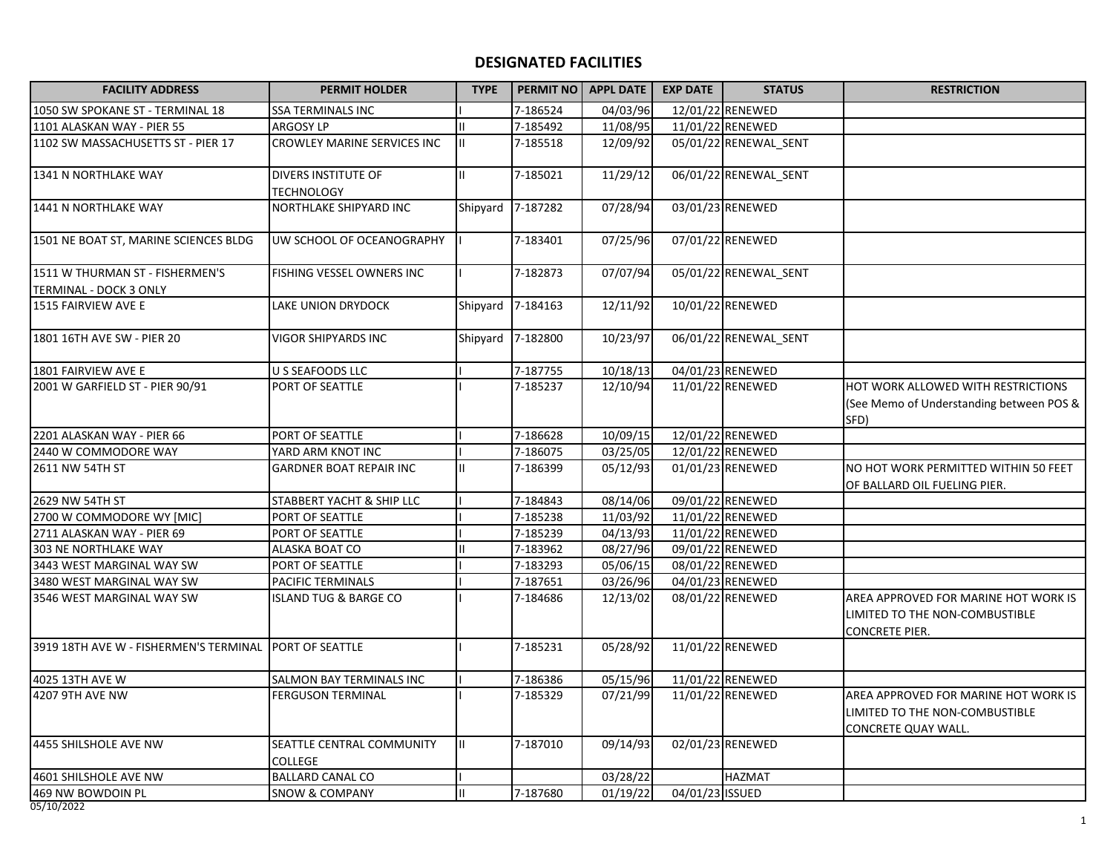## **DESIGNATED FACILITIES**

| <b>FACILITY ADDRESS</b>                                   | <b>PERMIT HOLDER</b>                     | <b>TYPE</b> |          | PERMIT NO APPL DATE   | <b>EXP DATE</b> | <b>STATUS</b>         | <b>RESTRICTION</b>                                                                              |
|-----------------------------------------------------------|------------------------------------------|-------------|----------|-----------------------|-----------------|-----------------------|-------------------------------------------------------------------------------------------------|
| 1050 SW SPOKANE ST - TERMINAL 18                          | <b>SSA TERMINALS INC</b>                 |             | 7-186524 | 04/03/96              |                 | 12/01/22 RENEWED      |                                                                                                 |
| 1101 ALASKAN WAY - PIER 55                                | <b>ARGOSY LP</b>                         |             | 7-185492 | 11/08/95              |                 | 11/01/22 RENEWED      |                                                                                                 |
| 1102 SW MASSACHUSETTS ST - PIER 17                        | CROWLEY MARINE SERVICES INC              |             | 7-185518 | 12/09/92              |                 | 05/01/22 RENEWAL_SENT |                                                                                                 |
| 1341 N NORTHLAKE WAY                                      | DIVERS INSTITUTE OF<br><b>TECHNOLOGY</b> |             | 7-185021 | 11/29/12              |                 | 06/01/22 RENEWAL_SENT |                                                                                                 |
| 1441 N NORTHLAKE WAY                                      | NORTHLAKE SHIPYARD INC                   | Shipyard    | 7-187282 | 07/28/94              |                 | 03/01/23 RENEWED      |                                                                                                 |
| 1501 NE BOAT ST, MARINE SCIENCES BLDG                     | UW SCHOOL OF OCEANOGRAPHY                |             | 7-183401 | 07/25/96              |                 | 07/01/22 RENEWED      |                                                                                                 |
| 1511 W THURMAN ST - FISHERMEN'S<br>TERMINAL - DOCK 3 ONLY | FISHING VESSEL OWNERS INC                |             | 7-182873 | $\frac{1}{07}{07}/94$ |                 | 05/01/22 RENEWAL_SENT |                                                                                                 |
| 1515 FAIRVIEW AVE E                                       | LAKE UNION DRYDOCK                       | Shipyard    | 7-184163 | 12/11/92              |                 | 10/01/22 RENEWED      |                                                                                                 |
| 1801 16TH AVE SW - PIER 20                                | VIGOR SHIPYARDS INC                      | Shipyard    | 7-182800 | 10/23/97              |                 | 06/01/22 RENEWAL_SENT |                                                                                                 |
| 1801 FAIRVIEW AVE E                                       | U S SEAFOODS LLC                         |             | 7-187755 | 10/18/13              |                 | 04/01/23 RENEWED      |                                                                                                 |
| 2001 W GARFIELD ST - PIER 90/91                           | PORT OF SEATTLE                          |             | 7-185237 | 12/10/94              |                 | 11/01/22 RENEWED      | HOT WORK ALLOWED WITH RESTRICTIONS<br>(See Memo of Understanding between POS &<br>SFD)          |
| 2201 ALASKAN WAY - PIER 66                                | PORT OF SEATTLE                          |             | 7-186628 | 10/09/15              |                 | 12/01/22 RENEWED      |                                                                                                 |
| 2440 W COMMODORE WAY                                      | YARD ARM KNOT INC                        |             | 7-186075 | 03/25/05              |                 | 12/01/22 RENEWED      |                                                                                                 |
| 2611 NW 54TH ST                                           | <b>GARDNER BOAT REPAIR INC</b>           |             | 7-186399 | 05/12/93              |                 | 01/01/23 RENEWED      | NO HOT WORK PERMITTED WITHIN 50 FEET<br>OF BALLARD OIL FUELING PIER.                            |
| 2629 NW 54TH ST                                           | STABBERT YACHT & SHIP LLC                |             | 7-184843 | 08/14/06              |                 | 09/01/22 RENEWED      |                                                                                                 |
| 2700 W COMMODORE WY [MIC]                                 | PORT OF SEATTLE                          |             | 7-185238 | 11/03/92              |                 | 11/01/22 RENEWED      |                                                                                                 |
| 2711 ALASKAN WAY - PIER 69                                | PORT OF SEATTLE                          |             | 7-185239 | 04/13/93              |                 | 11/01/22 RENEWED      |                                                                                                 |
| 303 NE NORTHLAKE WAY                                      | ALASKA BOAT CO                           |             | 7-183962 | 08/27/96              |                 | 09/01/22 RENEWED      |                                                                                                 |
| 3443 WEST MARGINAL WAY SW                                 | PORT OF SEATTLE                          |             | 7-183293 | 05/06/15              |                 | 08/01/22 RENEWED      |                                                                                                 |
| 3480 WEST MARGINAL WAY SW                                 | PACIFIC TERMINALS                        |             | 7-187651 | 03/26/96              |                 | 04/01/23 RENEWED      |                                                                                                 |
| 3546 WEST MARGINAL WAY SW                                 | <b>ISLAND TUG &amp; BARGE CO</b>         |             | 7-184686 | 12/13/02              |                 | 08/01/22 RENEWED      | AREA APPROVED FOR MARINE HOT WORK IS<br>LIMITED TO THE NON-COMBUSTIBLE<br><b>CONCRETE PIER.</b> |
| 3919 18TH AVE W - FISHERMEN'S TERMINAL                    | PORT OF SEATTLE                          |             | 7-185231 | 05/28/92              |                 | 11/01/22 RENEWED      |                                                                                                 |
| 4025 13TH AVE W                                           | SALMON BAY TERMINALS INC                 |             | 7-186386 | 05/15/96              |                 | 11/01/22 RENEWED      |                                                                                                 |
| 4207 9TH AVE NW                                           | <b>FERGUSON TERMINAL</b>                 |             | 7-185329 | 07/21/99              |                 | 11/01/22 RENEWED      | AREA APPROVED FOR MARINE HOT WORK IS<br>LIMITED TO THE NON-COMBUSTIBLE<br>CONCRETE QUAY WALL.   |
| 4455 SHILSHOLE AVE NW                                     | SEATTLE CENTRAL COMMUNITY<br>COLLEGE     | II.         | 7-187010 | 09/14/93              |                 | 02/01/23 RENEWED      |                                                                                                 |
| 4601 SHILSHOLE AVE NW                                     | <b>BALLARD CANAL CO</b>                  |             |          | 03/28/22              |                 | <b>HAZMAT</b>         |                                                                                                 |
| 469 NW BOWDOIN PL                                         | <b>SNOW &amp; COMPANY</b>                |             | 7-187680 | 01/19/22              | 04/01/23 ISSUED |                       |                                                                                                 |

05/10/2022